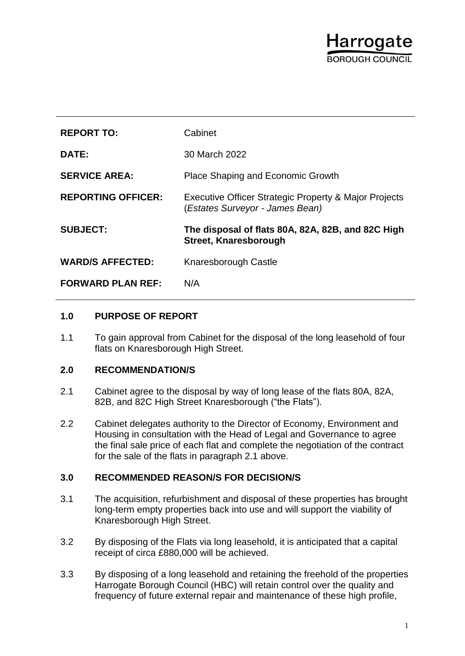# Harrogate BOROUGH COUNCIL

| <b>REPORT TO:</b>         | Cabinet                                                                                  |
|---------------------------|------------------------------------------------------------------------------------------|
| DATE:                     | 30 March 2022                                                                            |
| <b>SERVICE AREA:</b>      | Place Shaping and Economic Growth                                                        |
| <b>REPORTING OFFICER:</b> | Executive Officer Strategic Property & Major Projects<br>(Estates Surveyor - James Bean) |
| <b>SUBJECT:</b>           | The disposal of flats 80A, 82A, 82B, and 82C High<br>Street, Knaresborough               |
| <b>WARD/S AFFECTED:</b>   | Knaresborough Castle                                                                     |
| <b>FORWARD PLAN REF:</b>  | N/A                                                                                      |

## **1.0 PURPOSE OF REPORT**

1.1 To gain approval from Cabinet for the disposal of the long leasehold of four flats on Knaresborough High Street.

## **2.0 RECOMMENDATION/S**

- 2.1 Cabinet agree to the disposal by way of long lease of the flats 80A, 82A, 82B, and 82C High Street Knaresborough ("the Flats").
- 2.2 Cabinet delegates authority to the Director of Economy, Environment and Housing in consultation with the Head of Legal and Governance to agree the final sale price of each flat and complete the negotiation of the contract for the sale of the flats in paragraph 2.1 above.

## **3.0 RECOMMENDED REASON/S FOR DECISION/S**

- 3.1 The acquisition, refurbishment and disposal of these properties has brought long-term empty properties back into use and will support the viability of Knaresborough High Street.
- 3.2 By disposing of the Flats via long leasehold, it is anticipated that a capital receipt of circa £880,000 will be achieved.
- 3.3 By disposing of a long leasehold and retaining the freehold of the properties Harrogate Borough Council (HBC) will retain control over the quality and frequency of future external repair and maintenance of these high profile,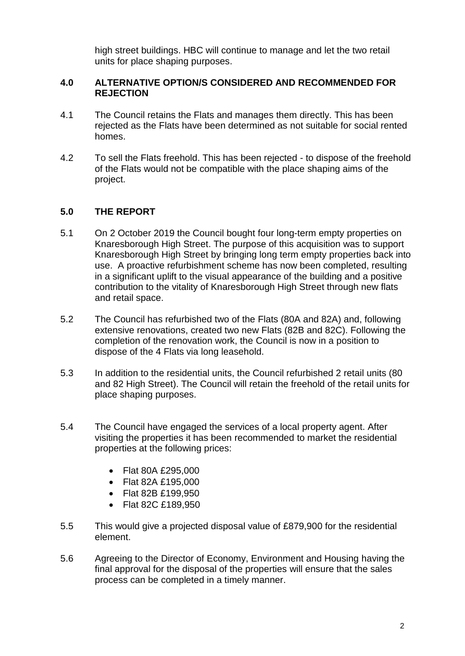high street buildings. HBC will continue to manage and let the two retail units for place shaping purposes.

#### **4.0 ALTERNATIVE OPTION/S CONSIDERED AND RECOMMENDED FOR REJECTION**

- 4.1 The Council retains the Flats and manages them directly. This has been rejected as the Flats have been determined as not suitable for social rented homes.
- 4.2 To sell the Flats freehold. This has been rejected to dispose of the freehold of the Flats would not be compatible with the place shaping aims of the project.

### **5.0 THE REPORT**

- 5.1 On 2 October 2019 the Council bought four long-term empty properties on Knaresborough High Street. The purpose of this acquisition was to support Knaresborough High Street by bringing long term empty properties back into use. A proactive refurbishment scheme has now been completed, resulting in a significant uplift to the visual appearance of the building and a positive contribution to the vitality of Knaresborough High Street through new flats and retail space.
- 5.2 The Council has refurbished two of the Flats (80A and 82A) and, following extensive renovations, created two new Flats (82B and 82C). Following the completion of the renovation work, the Council is now in a position to dispose of the 4 Flats via long leasehold.
- 5.3 In addition to the residential units, the Council refurbished 2 retail units (80 and 82 High Street). The Council will retain the freehold of the retail units for place shaping purposes.
- 5.4 The Council have engaged the services of a local property agent. After visiting the properties it has been recommended to market the residential properties at the following prices:
	- Flat 80A £295,000
	- Flat 82A £195,000
	- Flat 82B £199,950
	- Flat 82C £189,950
- 5.5 This would give a projected disposal value of £879,900 for the residential element.
- 5.6 Agreeing to the Director of Economy, Environment and Housing having the final approval for the disposal of the properties will ensure that the sales process can be completed in a timely manner.